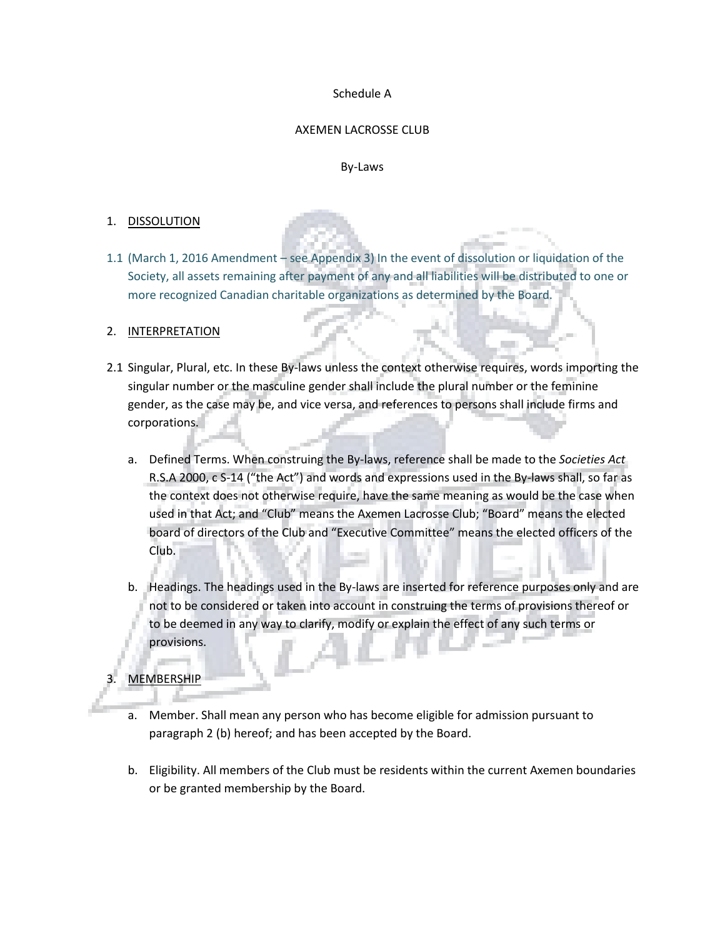### Schedule A

### AXEMEN LACROSSE CLUB

### By-Laws

## 1. DISSOLUTION

1.1 (March 1, 2016 Amendment – see Appendix 3) In the event of dissolution or liquidation of the Society, all assets remaining after payment of any and all liabilities will be distributed to one or more recognized Canadian charitable organizations as determined by the Board.

## 2. INTERPRETATION

- 2.1 Singular, Plural, etc. In these By-laws unless the context otherwise requires, words importing the singular number or the masculine gender shall include the plural number or the feminine gender, as the case may be, and vice versa, and references to persons shall include firms and corporations.
	- a. Defined Terms. When construing the By-laws, reference shall be made to the *Societies Act* R.S.A 2000, c S-14 ("the Act") and words and expressions used in the By-laws shall, so far as the context does not otherwise require, have the same meaning as would be the case when used in that Act; and "Club" means the Axemen Lacrosse Club; "Board" means the elected board of directors of the Club and "Executive Committee" means the elected officers of the Club.
	- b. Headings. The headings used in the By-laws are inserted for reference purposes only and are not to be considered or taken into account in construing the terms of provisions thereof or to be deemed in any way to clarify, modify or explain the effect of any such terms or provisions.

## **MEMBERSHIP**

- a. Member. Shall mean any person who has become eligible for admission pursuant to paragraph 2 (b) hereof; and has been accepted by the Board.
- b. Eligibility. All members of the Club must be residents within the current Axemen boundaries or be granted membership by the Board.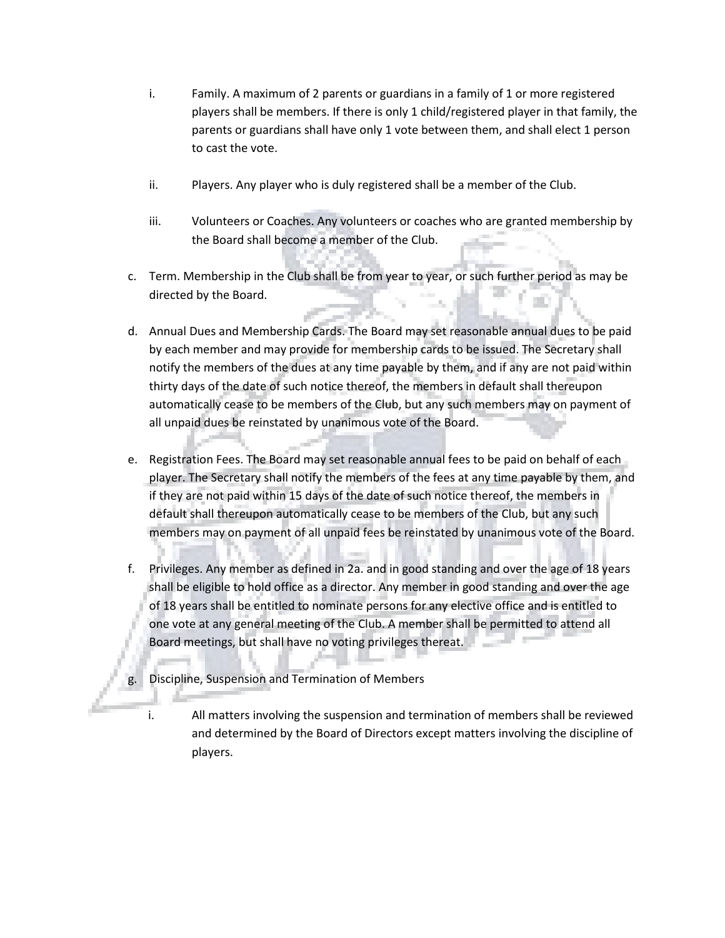- i. Family. A maximum of 2 parents or guardians in a family of 1 or more registered players shall be members. If there is only 1 child/registered player in that family, the parents or guardians shall have only 1 vote between them, and shall elect 1 person to cast the vote.
- ii. Players. Any player who is duly registered shall be a member of the Club.
- iii. Volunteers or Coaches. Any volunteers or coaches who are granted membership by the Board shall become a member of the Club.
- c. Term. Membership in the Club shall be from year to year, or such further period as may be directed by the Board.
- d. Annual Dues and Membership Cards. The Board may set reasonable annual dues to be paid by each member and may provide for membership cards to be issued. The Secretary shall notify the members of the dues at any time payable by them, and if any are not paid within thirty days of the date of such notice thereof, the members in default shall thereupon automatically cease to be members of the Club, but any such members may on payment of all unpaid dues be reinstated by unanimous vote of the Board.
- e. Registration Fees. The Board may set reasonable annual fees to be paid on behalf of each player. The Secretary shall notify the members of the fees at any time payable by them, and if they are not paid within 15 days of the date of such notice thereof, the members in default shall thereupon automatically cease to be members of the Club, but any such members may on payment of all unpaid fees be reinstated by unanimous vote of the Board.
- f. Privileges. Any member as defined in 2a. and in good standing and over the age of 18 years shall be eligible to hold office as a director. Any member in good standing and over the age of 18 years shall be entitled to nominate persons for any elective office and is entitled to one vote at any general meeting of the Club. A member shall be permitted to attend all Board meetings, but shall have no voting privileges thereat.
- g. Discipline, Suspension and Termination of Members
	- i. All matters involving the suspension and termination of members shall be reviewed and determined by the Board of Directors except matters involving the discipline of players.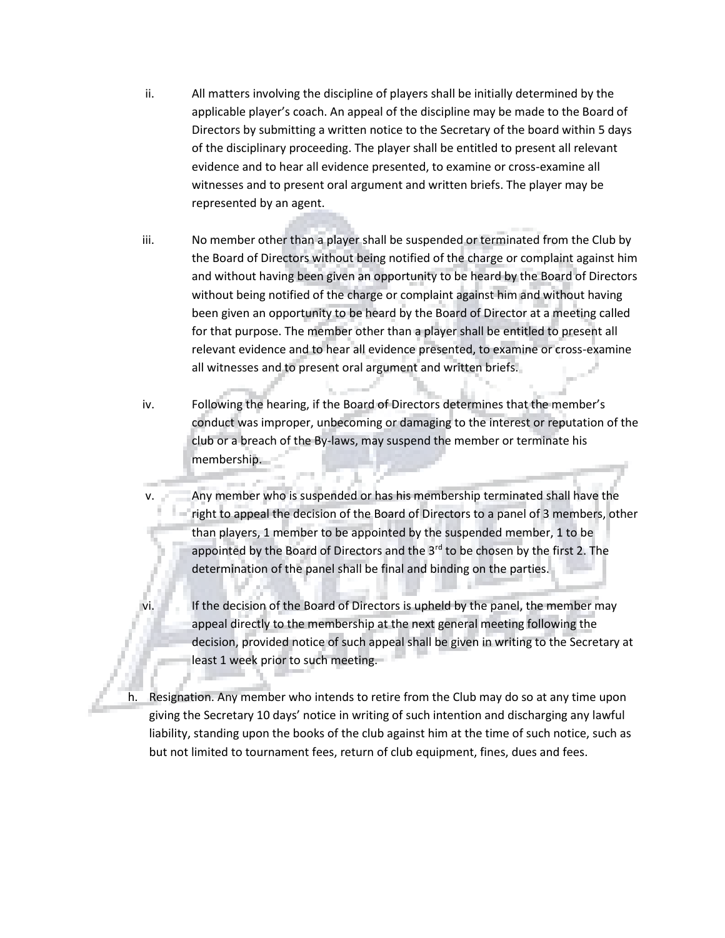- ii. All matters involving the discipline of players shall be initially determined by the applicable player's coach. An appeal of the discipline may be made to the Board of Directors by submitting a written notice to the Secretary of the board within 5 days of the disciplinary proceeding. The player shall be entitled to present all relevant evidence and to hear all evidence presented, to examine or cross-examine all witnesses and to present oral argument and written briefs. The player may be represented by an agent.
- iii. No member other than a player shall be suspended or terminated from the Club by the Board of Directors without being notified of the charge or complaint against him and without having been given an opportunity to be heard by the Board of Directors without being notified of the charge or complaint against him and without having been given an opportunity to be heard by the Board of Director at a meeting called for that purpose. The member other than a player shall be entitled to present all relevant evidence and to hear all evidence presented, to examine or cross-examine all witnesses and to present oral argument and written briefs.
- iv. Following the hearing, if the Board of Directors determines that the member's conduct was improper, unbecoming or damaging to the interest or reputation of the club or a breach of the By-laws, may suspend the member or terminate his membership.
- Any member who is suspended or has his membership terminated shall have the right to appeal the decision of the Board of Directors to a panel of 3 members, other than players, 1 member to be appointed by the suspended member, 1 to be appointed by the Board of Directors and the 3<sup>rd</sup> to be chosen by the first 2. The determination of the panel shall be final and binding on the parties.
	- If the decision of the Board of Directors is upheld by the panel, the member may appeal directly to the membership at the next general meeting following the decision, provided notice of such appeal shall be given in writing to the Secretary at least 1 week prior to such meeting.

h. Resignation. Any member who intends to retire from the Club may do so at any time upon giving the Secretary 10 days' notice in writing of such intention and discharging any lawful liability, standing upon the books of the club against him at the time of such notice, such as but not limited to tournament fees, return of club equipment, fines, dues and fees.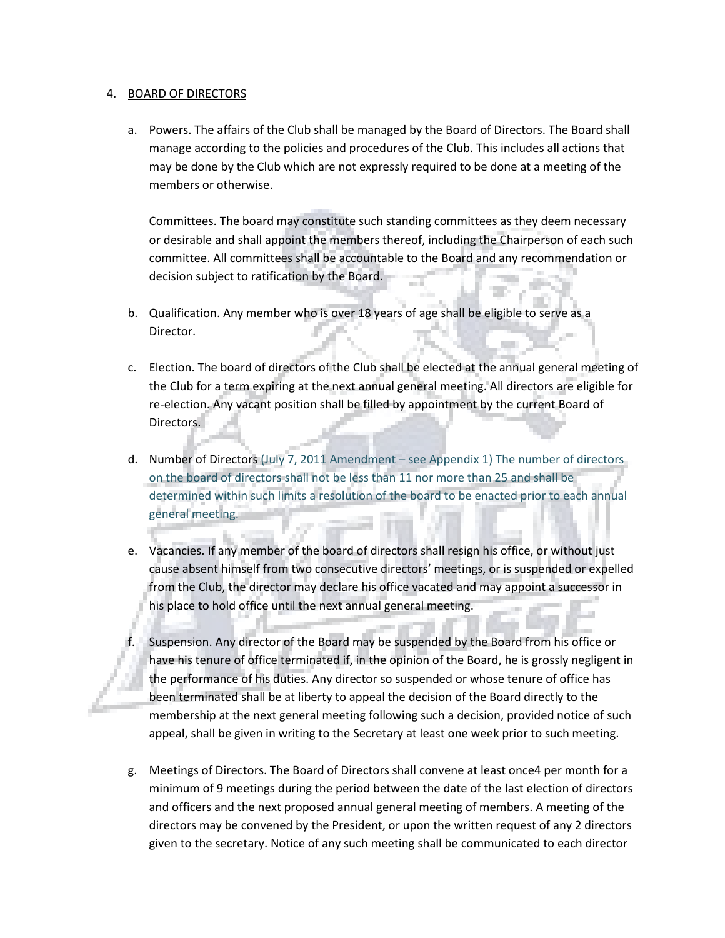### 4. BOARD OF DIRECTORS

a. Powers. The affairs of the Club shall be managed by the Board of Directors. The Board shall manage according to the policies and procedures of the Club. This includes all actions that may be done by the Club which are not expressly required to be done at a meeting of the members or otherwise.

Committees. The board may constitute such standing committees as they deem necessary or desirable and shall appoint the members thereof, including the Chairperson of each such committee. All committees shall be accountable to the Board and any recommendation or decision subject to ratification by the Board.

- b. Qualification. Any member who is over 18 years of age shall be eligible to serve as a Director.
- c. Election. The board of directors of the Club shall be elected at the annual general meeting of the Club for a term expiring at the next annual general meeting. All directors are eligible for re-election. Any vacant position shall be filled by appointment by the current Board of Directors.
- d. Number of Directors (July 7, 2011 Amendment see Appendix 1) The number of directors on the board of directors shall not be less than 11 nor more than 25 and shall be determined within such limits a resolution of the board to be enacted prior to each annual general meeting.
- e. Vacancies. If any member of the board of directors shall resign his office, or without just cause absent himself from two consecutive directors' meetings, or is suspended or expelled from the Club, the director may declare his office vacated and may appoint a successor in his place to hold office until the next annual general meeting.
	- Suspension. Any director of the Board may be suspended by the Board from his office or have his tenure of office terminated if, in the opinion of the Board, he is grossly negligent in the performance of his duties. Any director so suspended or whose tenure of office has been terminated shall be at liberty to appeal the decision of the Board directly to the membership at the next general meeting following such a decision, provided notice of such appeal, shall be given in writing to the Secretary at least one week prior to such meeting.
- g. Meetings of Directors. The Board of Directors shall convene at least once4 per month for a minimum of 9 meetings during the period between the date of the last election of directors and officers and the next proposed annual general meeting of members. A meeting of the directors may be convened by the President, or upon the written request of any 2 directors given to the secretary. Notice of any such meeting shall be communicated to each director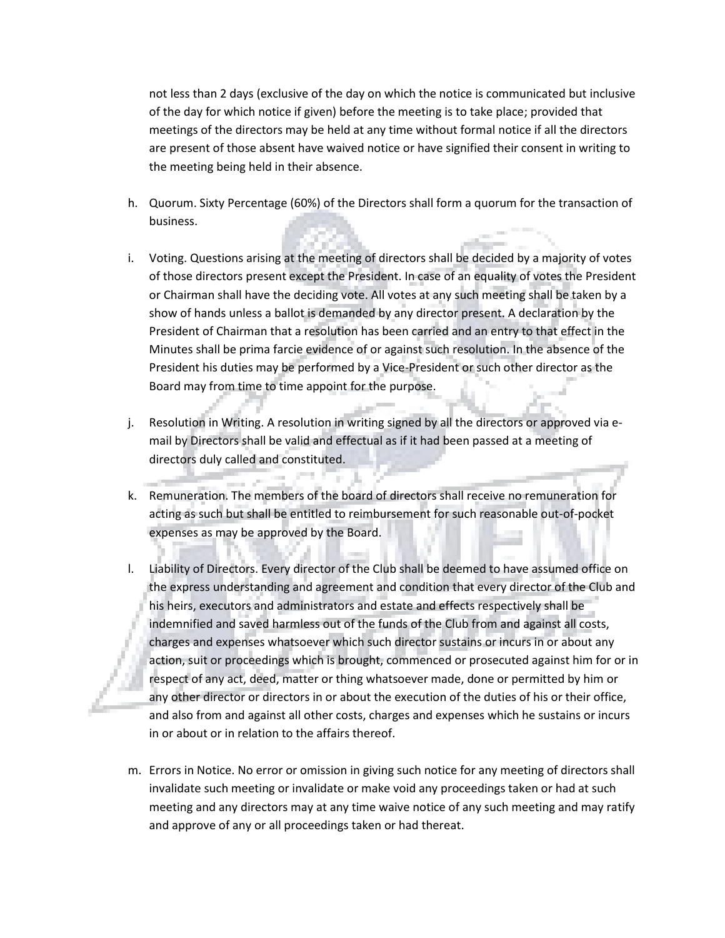not less than 2 days (exclusive of the day on which the notice is communicated but inclusive of the day for which notice if given) before the meeting is to take place; provided that meetings of the directors may be held at any time without formal notice if all the directors are present of those absent have waived notice or have signified their consent in writing to the meeting being held in their absence.

- h. Quorum. Sixty Percentage (60%) of the Directors shall form a quorum for the transaction of business.
- i. Voting. Questions arising at the meeting of directors shall be decided by a majority of votes of those directors present except the President. In case of an equality of votes the President or Chairman shall have the deciding vote. All votes at any such meeting shall be taken by a show of hands unless a ballot is demanded by any director present. A declaration by the President of Chairman that a resolution has been carried and an entry to that effect in the Minutes shall be prima farcie evidence of or against such resolution. In the absence of the President his duties may be performed by a Vice-President or such other director as the Board may from time to time appoint for the purpose.
- j. Resolution in Writing. A resolution in writing signed by all the directors or approved via email by Directors shall be valid and effectual as if it had been passed at a meeting of directors duly called and constituted.
- k. Remuneration. The members of the board of directors shall receive no remuneration for acting as such but shall be entitled to reimbursement for such reasonable out-of-pocket expenses as may be approved by the Board.
- l. Liability of Directors. Every director of the Club shall be deemed to have assumed office on the express understanding and agreement and condition that every director of the Club and his heirs, executors and administrators and estate and effects respectively shall be indemnified and saved harmless out of the funds of the Club from and against all costs, charges and expenses whatsoever which such director sustains or incurs in or about any action, suit or proceedings which is brought, commenced or prosecuted against him for or in respect of any act, deed, matter or thing whatsoever made, done or permitted by him or any other director or directors in or about the execution of the duties of his or their office, and also from and against all other costs, charges and expenses which he sustains or incurs in or about or in relation to the affairs thereof.
- m. Errors in Notice. No error or omission in giving such notice for any meeting of directors shall invalidate such meeting or invalidate or make void any proceedings taken or had at such meeting and any directors may at any time waive notice of any such meeting and may ratify and approve of any or all proceedings taken or had thereat.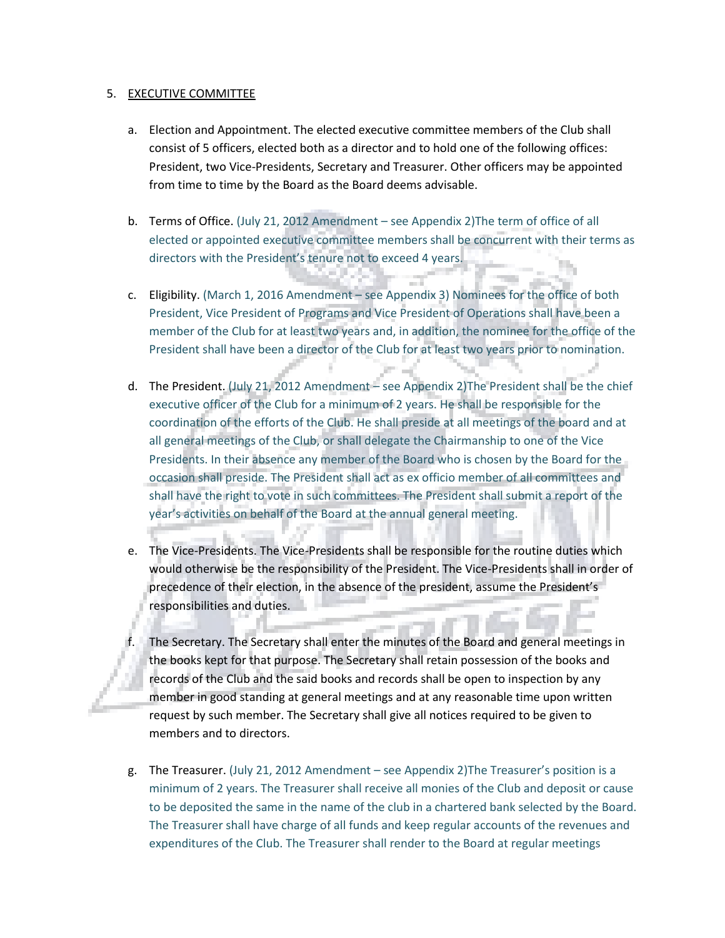## 5. EXECUTIVE COMMITTEE

- a. Election and Appointment. The elected executive committee members of the Club shall consist of 5 officers, elected both as a director and to hold one of the following offices: President, two Vice-Presidents, Secretary and Treasurer. Other officers may be appointed from time to time by the Board as the Board deems advisable.
- b. Terms of Office. (July 21, 2012 Amendment see Appendix 2)The term of office of all elected or appointed executive committee members shall be concurrent with their terms as directors with the President's tenure not to exceed 4 years.
- c. Eligibility. (March 1, 2016 Amendment see Appendix 3) Nominees for the office of both President, Vice President of Programs and Vice President of Operations shall have been a member of the Club for at least two years and, in addition, the nominee for the office of the President shall have been a director of the Club for at least two years prior to nomination.
- d. The President. (July 21, 2012 Amendment see Appendix 2)The President shall be the chief executive officer of the Club for a minimum of 2 years. He shall be responsible for the coordination of the efforts of the Club. He shall preside at all meetings of the board and at all general meetings of the Club, or shall delegate the Chairmanship to one of the Vice Presidents. In their absence any member of the Board who is chosen by the Board for the occasion shall preside. The President shall act as ex officio member of all committees and shall have the right to vote in such committees. The President shall submit a report of the year's activities on behalf of the Board at the annual general meeting.
- e. The Vice-Presidents. The Vice-Presidents shall be responsible for the routine duties which would otherwise be the responsibility of the President. The Vice-Presidents shall in order of precedence of their election, in the absence of the president, assume the President's responsibilities and duties.
	- The Secretary. The Secretary shall enter the minutes of the Board and general meetings in the books kept for that purpose. The Secretary shall retain possession of the books and records of the Club and the said books and records shall be open to inspection by any member in good standing at general meetings and at any reasonable time upon written request by such member. The Secretary shall give all notices required to be given to members and to directors.
- g. The Treasurer. (July 21, 2012 Amendment see Appendix 2)The Treasurer's position is a minimum of 2 years. The Treasurer shall receive all monies of the Club and deposit or cause to be deposited the same in the name of the club in a chartered bank selected by the Board. The Treasurer shall have charge of all funds and keep regular accounts of the revenues and expenditures of the Club. The Treasurer shall render to the Board at regular meetings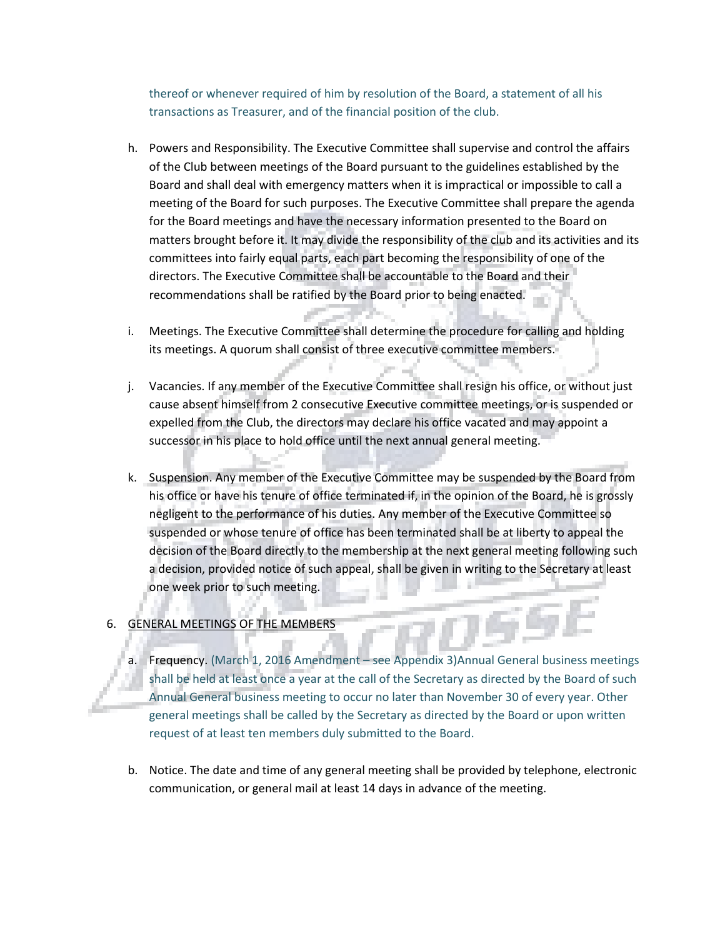thereof or whenever required of him by resolution of the Board, a statement of all his transactions as Treasurer, and of the financial position of the club.

- h. Powers and Responsibility. The Executive Committee shall supervise and control the affairs of the Club between meetings of the Board pursuant to the guidelines established by the Board and shall deal with emergency matters when it is impractical or impossible to call a meeting of the Board for such purposes. The Executive Committee shall prepare the agenda for the Board meetings and have the necessary information presented to the Board on matters brought before it. It may divide the responsibility of the club and its activities and its committees into fairly equal parts, each part becoming the responsibility of one of the directors. The Executive Committee shall be accountable to the Board and their recommendations shall be ratified by the Board prior to being enacted.
- i. Meetings. The Executive Committee shall determine the procedure for calling and holding its meetings. A quorum shall consist of three executive committee members.
- j. Vacancies. If any member of the Executive Committee shall resign his office, or without just cause absent himself from 2 consecutive Executive committee meetings, or is suspended or expelled from the Club, the directors may declare his office vacated and may appoint a successor in his place to hold office until the next annual general meeting.
- k. Suspension. Any member of the Executive Committee may be suspended by the Board from his office or have his tenure of office terminated if, in the opinion of the Board, he is grossly negligent to the performance of his duties. Any member of the Executive Committee so suspended or whose tenure of office has been terminated shall be at liberty to appeal the decision of the Board directly to the membership at the next general meeting following such a decision, provided notice of such appeal, shall be given in writing to the Secretary at least one week prior to such meeting.

## 6. GENERAL MEETINGS OF THE MEMBERS

- a. Frequency. (March 1, 2016 Amendment see Appendix 3)Annual General business meetings shall be held at least once a year at the call of the Secretary as directed by the Board of such Annual General business meeting to occur no later than November 30 of every year. Other general meetings shall be called by the Secretary as directed by the Board or upon written request of at least ten members duly submitted to the Board.
- b. Notice. The date and time of any general meeting shall be provided by telephone, electronic communication, or general mail at least 14 days in advance of the meeting.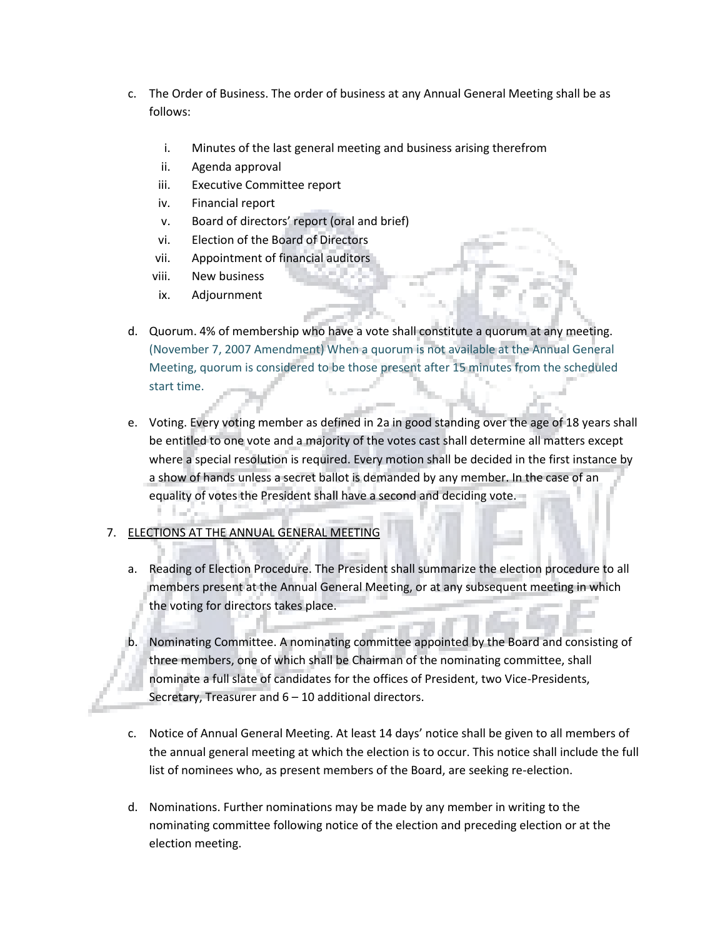- c. The Order of Business. The order of business at any Annual General Meeting shall be as follows:
	- i. Minutes of the last general meeting and business arising therefrom
	- ii. Agenda approval
	- iii. Executive Committee report
	- iv. Financial report
	- v. Board of directors' report (oral and brief)
	- vi. Election of the Board of Directors
	- vii. Appointment of financial auditors
	- viii. New business
	- ix. Adjournment
- d. Quorum. 4% of membership who have a vote shall constitute a quorum at any meeting. (November 7, 2007 Amendment) When a quorum is not available at the Annual General Meeting, quorum is considered to be those present after 15 minutes from the scheduled start time.
- e. Voting. Every voting member as defined in 2a in good standing over the age of 18 years shall be entitled to one vote and a majority of the votes cast shall determine all matters except where a special resolution is required. Every motion shall be decided in the first instance by a show of hands unless a secret ballot is demanded by any member. In the case of an equality of votes the President shall have a second and deciding vote.

# 7. ELECTIONS AT THE ANNUAL GENERAL MEETING

- a. Reading of Election Procedure. The President shall summarize the election procedure to all members present at the Annual General Meeting, or at any subsequent meeting in which the voting for directors takes place.
- b. Nominating Committee. A nominating committee appointed by the Board and consisting of three members, one of which shall be Chairman of the nominating committee, shall nominate a full slate of candidates for the offices of President, two Vice-Presidents, Secretary, Treasurer and 6 – 10 additional directors.
- c. Notice of Annual General Meeting. At least 14 days' notice shall be given to all members of the annual general meeting at which the election is to occur. This notice shall include the full list of nominees who, as present members of the Board, are seeking re-election.
- d. Nominations. Further nominations may be made by any member in writing to the nominating committee following notice of the election and preceding election or at the election meeting.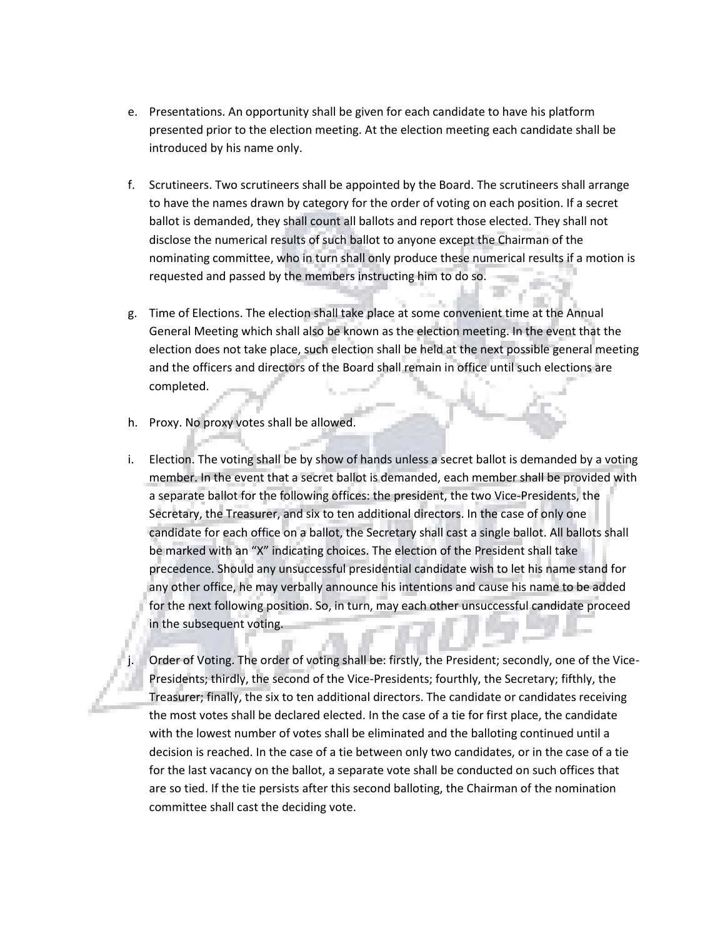- e. Presentations. An opportunity shall be given for each candidate to have his platform presented prior to the election meeting. At the election meeting each candidate shall be introduced by his name only.
- f. Scrutineers. Two scrutineers shall be appointed by the Board. The scrutineers shall arrange to have the names drawn by category for the order of voting on each position. If a secret ballot is demanded, they shall count all ballots and report those elected. They shall not disclose the numerical results of such ballot to anyone except the Chairman of the nominating committee, who in turn shall only produce these numerical results if a motion is requested and passed by the members instructing him to do so.
- g. Time of Elections. The election shall take place at some convenient time at the Annual General Meeting which shall also be known as the election meeting. In the event that the election does not take place, such election shall be held at the next possible general meeting and the officers and directors of the Board shall remain in office until such elections are completed.
- h. Proxy. No proxy votes shall be allowed.
- i. Election. The voting shall be by show of hands unless a secret ballot is demanded by a voting member. In the event that a secret ballot is demanded, each member shall be provided with a separate ballot for the following offices: the president, the two Vice-Presidents, the Secretary, the Treasurer, and six to ten additional directors. In the case of only one candidate for each office on a ballot, the Secretary shall cast a single ballot. All ballots shall be marked with an "X" indicating choices. The election of the President shall take precedence. Should any unsuccessful presidential candidate wish to let his name stand for any other office, he may verbally announce his intentions and cause his name to be added for the next following position. So, in turn, may each other unsuccessful candidate proceed in the subsequent voting.

Order of Voting. The order of voting shall be: firstly, the President; secondly, one of the Vice-Presidents; thirdly, the second of the Vice-Presidents; fourthly, the Secretary; fifthly, the Treasurer; finally, the six to ten additional directors. The candidate or candidates receiving the most votes shall be declared elected. In the case of a tie for first place, the candidate with the lowest number of votes shall be eliminated and the balloting continued until a decision is reached. In the case of a tie between only two candidates, or in the case of a tie for the last vacancy on the ballot, a separate vote shall be conducted on such offices that are so tied. If the tie persists after this second balloting, the Chairman of the nomination committee shall cast the deciding vote.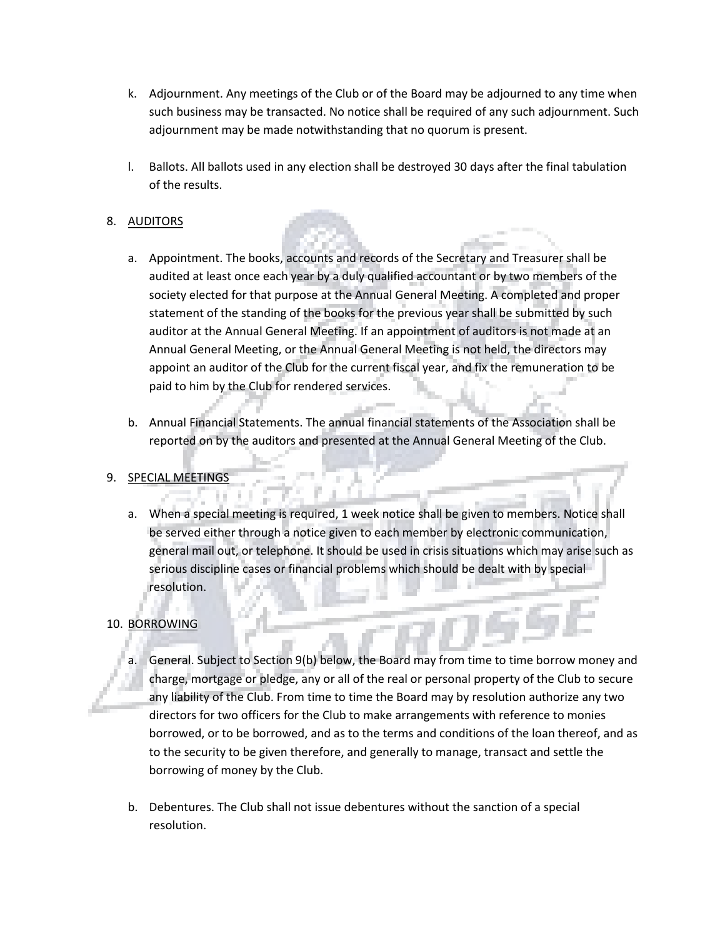- k. Adjournment. Any meetings of the Club or of the Board may be adjourned to any time when such business may be transacted. No notice shall be required of any such adjournment. Such adjournment may be made notwithstanding that no quorum is present.
- l. Ballots. All ballots used in any election shall be destroyed 30 days after the final tabulation of the results.

## 8. AUDITORS

- a. Appointment. The books, accounts and records of the Secretary and Treasurer shall be audited at least once each year by a duly qualified accountant or by two members of the society elected for that purpose at the Annual General Meeting. A completed and proper statement of the standing of the books for the previous year shall be submitted by such auditor at the Annual General Meeting. If an appointment of auditors is not made at an Annual General Meeting, or the Annual General Meeting is not held, the directors may appoint an auditor of the Club for the current fiscal year, and fix the remuneration to be paid to him by the Club for rendered services.
- b. Annual Financial Statements. The annual financial statements of the Association shall be reported on by the auditors and presented at the Annual General Meeting of the Club.

## 9. SPECIAL MEETINGS

a. When a special meeting is required, 1 week notice shall be given to members. Notice shall be served either through a notice given to each member by electronic communication, general mail out, or telephone. It should be used in crisis situations which may arise such as serious discipline cases or financial problems which should be dealt with by special resolution.

## 10. BORROWING

- General. Subject to Section 9(b) below, the Board may from time to time borrow money and charge, mortgage or pledge, any or all of the real or personal property of the Club to secure any liability of the Club. From time to time the Board may by resolution authorize any two directors for two officers for the Club to make arrangements with reference to monies borrowed, or to be borrowed, and as to the terms and conditions of the loan thereof, and as to the security to be given therefore, and generally to manage, transact and settle the borrowing of money by the Club.
- b. Debentures. The Club shall not issue debentures without the sanction of a special resolution.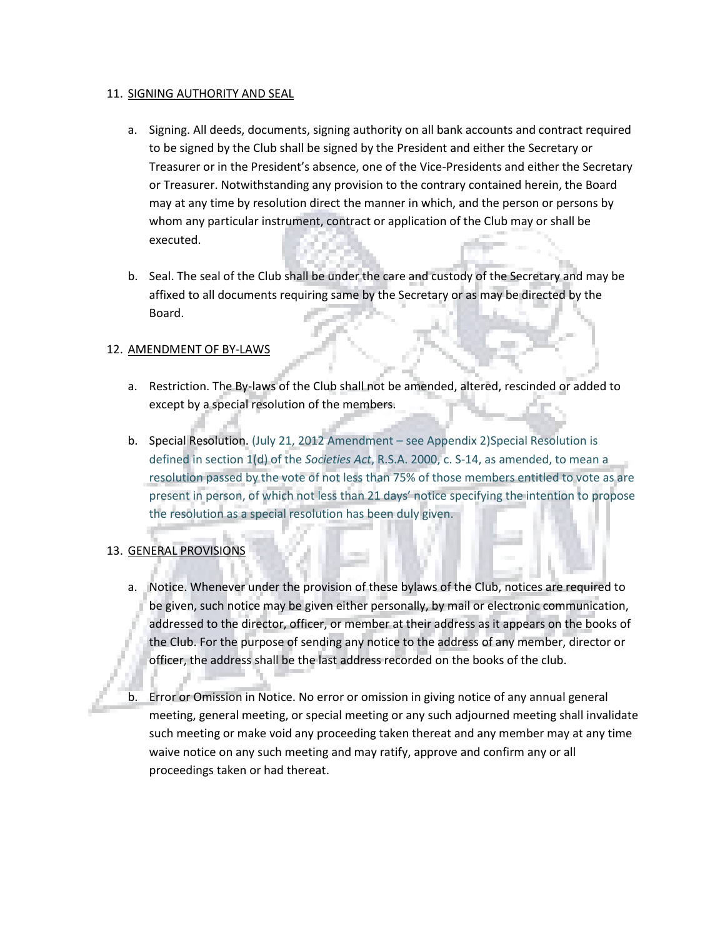## 11. SIGNING AUTHORITY AND SEAL

- a. Signing. All deeds, documents, signing authority on all bank accounts and contract required to be signed by the Club shall be signed by the President and either the Secretary or Treasurer or in the President's absence, one of the Vice-Presidents and either the Secretary or Treasurer. Notwithstanding any provision to the contrary contained herein, the Board may at any time by resolution direct the manner in which, and the person or persons by whom any particular instrument, contract or application of the Club may or shall be executed.
- b. Seal. The seal of the Club shall be under the care and custody of the Secretary and may be affixed to all documents requiring same by the Secretary or as may be directed by the Board.

## 12. AMENDMENT OF BY-LAWS

- a. Restriction. The By-laws of the Club shall not be amended, altered, rescinded or added to except by a special resolution of the members.
- b. Special Resolution. (July 21, 2012 Amendment see Appendix 2) Special Resolution is defined in section 1(d) of the *Societies Act*, R.S.A. 2000, c. S-14, as amended, to mean a resolution passed by the vote of not less than 75% of those members entitled to vote as are present in person, of which not less than 21 days' notice specifying the intention to propose the resolution as a special resolution has been duly given.

# 13. GENERAL PROVISIONS

- a. Notice. Whenever under the provision of these bylaws of the Club, notices are required to be given, such notice may be given either personally, by mail or electronic communication, addressed to the director, officer, or member at their address as it appears on the books of the Club. For the purpose of sending any notice to the address of any member, director or officer, the address shall be the last address recorded on the books of the club.
- b. Error or Omission in Notice. No error or omission in giving notice of any annual general meeting, general meeting, or special meeting or any such adjourned meeting shall invalidate such meeting or make void any proceeding taken thereat and any member may at any time waive notice on any such meeting and may ratify, approve and confirm any or all proceedings taken or had thereat.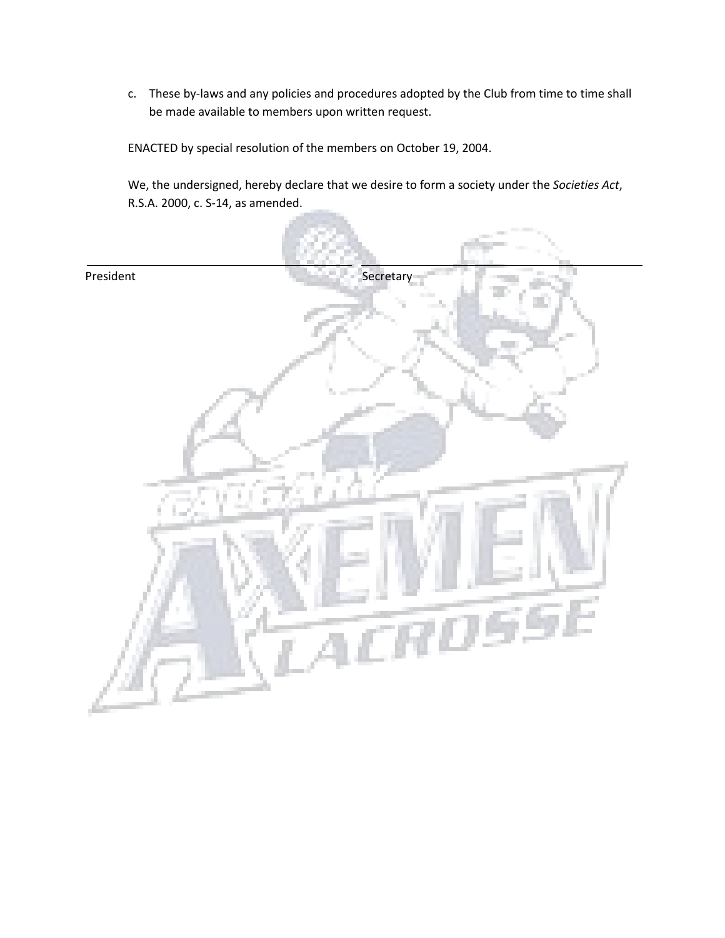c. These by-laws and any policies and procedures adopted by the Club from time to time shall be made available to members upon written request.

ENACTED by special resolution of the members on October 19, 2004.

We, the undersigned, hereby declare that we desire to form a society under the *Societies Act*, R.S.A. 2000, c. S-14, as amended.

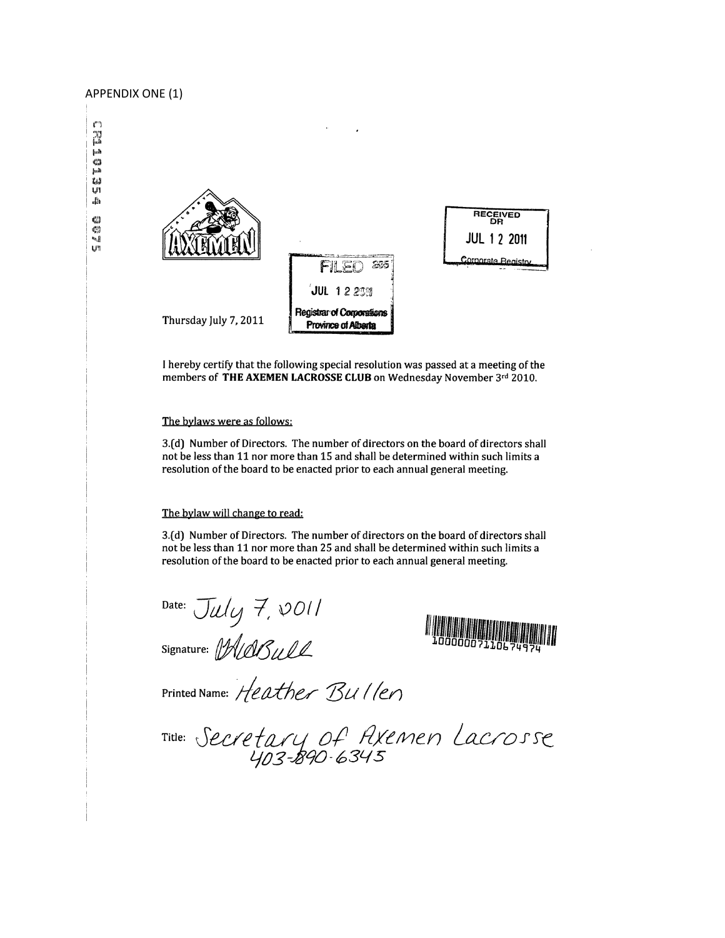#### **APPENDIX ONE (1)**

 $\mathfrak{l}^{\text{max}}$ ya mana ma  $J_{\rm d}^{\rm H}$ es estas estas estas en la ci



I hereby certify that the following special resolution was passed at a meeting of the members of THE AXEMEN LACROSSE CLUB on Wednesday November 3rd 2010.

#### The bylaws were as follows:

3.(d) Number of Directors. The number of directors on the board of directors shall not be less than 11 nor more than 15 and shall be determined within such limits a resolution of the board to be enacted prior to each annual general meeting.

#### The bylaw will change to read:

3.(d) Number of Directors. The number of directors on the board of directors shall not be less than 11 nor more than 25 and shall be determined within such limits a resolution of the board to be enacted prior to each annual general meeting.

Date: July 7, 0011<br>Signature: *MABull* 

Printed Name: Heather Bullen

Title: Secretary of Axemen Lacrosse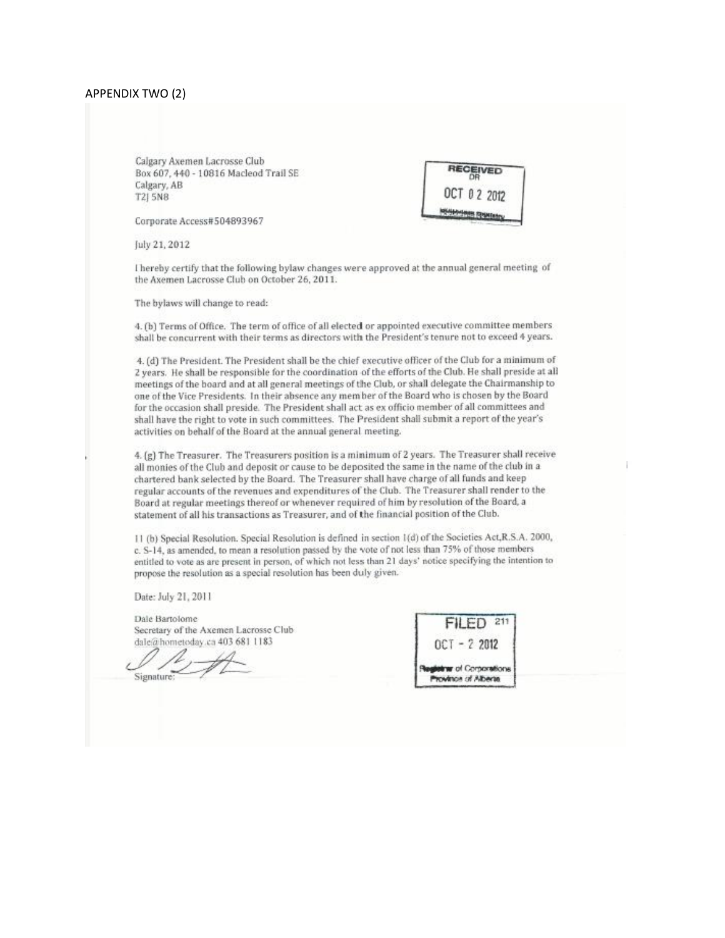#### **APPENDIX TWO (2)**

Calgary Axemen Lacrosse Club Box 607, 440 - 10816 Macleod Trail SE Calgary, AB T2J 5N8

RECEIVED OCT 0 2 2012

Corporate Access#504893967

July 21, 2012

I hereby certify that the following bylaw changes were approved at the annual general meeting of the Axemen Lacrosse Club on October 26, 2011.

The bylaws will change to read:

4. (b) Terms of Office. The term of office of all elected or appointed executive committee members shall be concurrent with their terms as directors with the President's tenure not to exceed 4 years.

4. (d) The President. The President shall be the chief executive officer of the Club for a minimum of 2 years. He shall be responsible for the coordination of the efforts of the Club. He shall preside at all meetings of the board and at all general meetings of the Club, or shall delegate the Chairmanship to one of the Vice Presidents. In their absence any member of the Board who is chosen by the Board for the occasion shall preside. The President shall act as ex officio member of all committees and shall have the right to vote in such committees. The President shall submit a report of the year's activities on behalf of the Board at the annual general meeting.

4. (g) The Treasurer. The Treasurers position is a minimum of 2 years. The Treasurer shall receive all monies of the Club and deposit or cause to be deposited the same in the name of the club in a chartered bank selected by the Board. The Treasurer shall have charge of all funds and keep regular accounts of the revenues and expenditures of the Club. The Treasurer shall render to the Board at regular meetings thereof or whenever required of him by resolution of the Board, a statement of all his transactions as Treasurer, and of the financial position of the Club.

11 (b) Special Resolution. Special Resolution is defined in section 1(d) of the Societies Act, R.S.A. 2000, c. S-14, as amended, to mean a resolution passed by the vote of not less than 75% of those members entitled to vote as are present in person, of which not less than 21 days' notice specifying the intention to propose the resolution as a special resolution has been duly given.

Date: July 21, 2011

Dale Bartolome Secretary of the Axemen Lacrosse Club dale@hometoday.ca 403 681 1183

Signature:

**FILED 211**  $OCT - 22012$ ar of Corporations Province of Alberta